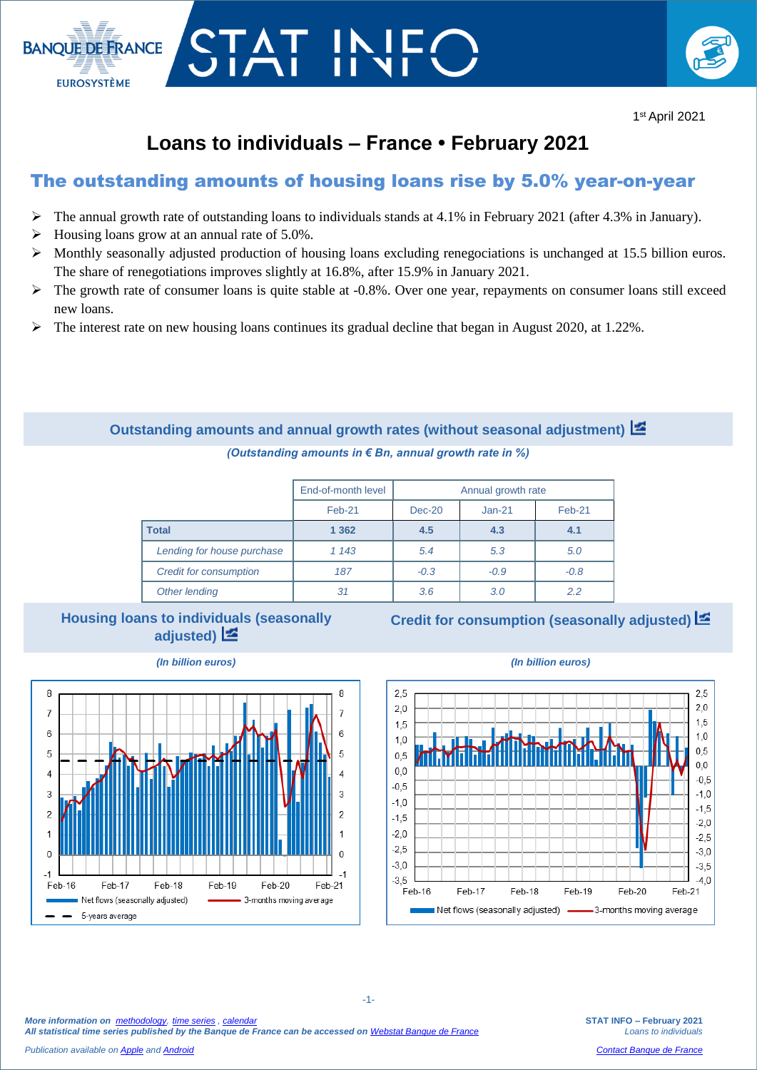

# **Loans to individuals – France • February 2021**

T IN

## The outstanding amounts of housing loans rise by 5.0% year-on-year

- $\triangleright$  The annual growth rate of outstanding loans to individuals stands at 4.1% in February 2021 (after 4.3% in January).
- $\triangleright$  Housing loans grow at an annual rate of 5.0%.

**BANOUE DE FRANCE** 

**EUROSYSTÈME** 

- $\triangleright$  Monthly seasonally adjusted production of housing loans excluding renegociations is unchanged at 15.5 billion euros. The share of renegotiations improves slightly at 16.8%, after 15.9% in January 2021.
- The growth rate of consumer loans is quite stable at -0.8%. Over one year, repayments on consumer loans still exceed new loans.
- $\triangleright$  The interest rate on new housing loans continues its gradual decline that began in August 2020, at 1.22%.

### **Outstanding amounts and annual growth rates (without seasonal adjustment)**  *(Outstanding amounts in € Bn, annual growth rate in %)*

|                               | End-of-month level | Annual growth rate |          |        |  |
|-------------------------------|--------------------|--------------------|----------|--------|--|
|                               | Feb-21             | $Dec-20$           | $Jan-21$ | Feb-21 |  |
| <b>Total</b>                  | 1 3 6 2            | 4.5                | 4.3      | 4.1    |  |
| Lending for house purchase    | 1 1 4 3            | 5.4                | 5.3      | 5.0    |  |
| <b>Credit for consumption</b> | 187                | $-0.3$             | $-0.9$   | $-0.8$ |  |
| Other lending                 | 31                 | 3.6                | 3.0      | 2.2    |  |

#### **Housing loans to individuals (seasonally adjusted)**

**Credit for consumption (seasonally adjusted)**



-1-





*More information on [methodology,](https://www.banque-france.fr/en/statistics/access-series/methodologies) [time series](http://webstat.banque-france.fr/en/browse.do?node=5384775) [, calendar](https://www.banque-france.fr/en/statistics/calendar) All statistical time series published by the Banque de France can be accessed on [Webstat Banque de France](http://webstat.banque-france.fr/en/)*